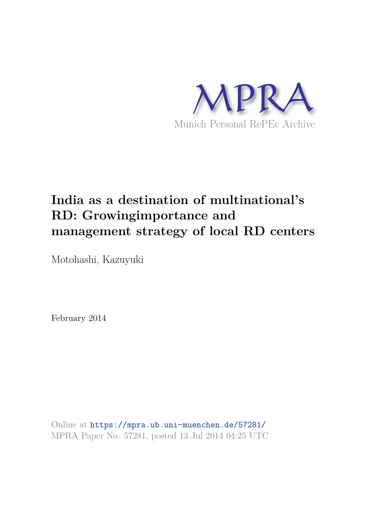

# **India as a destination of multinational's RD: Growingimportance and management strategy of local RD centers**

Motohashi, Kazuyuki

February 2014

Online at https://mpra.ub.uni-muenchen.de/57281/ MPRA Paper No. 57281, posted 13 Jul 2014 04:25 UTC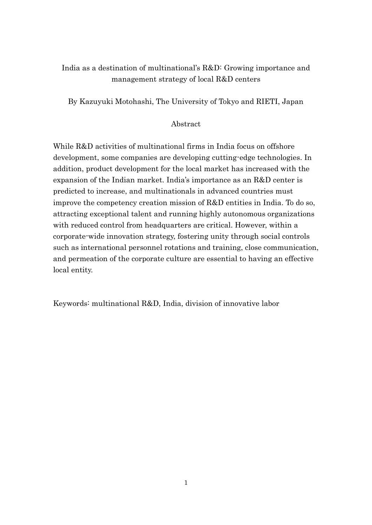## India as a destination of multinational's R&D: Growing importance and management strategy of local R&D centers

By Kazuyuki Motohashi, The University of Tokyo and RIETI, Japan

## Abstract

While R&D activities of multinational firms in India focus on offshore development, some companies are developing cutting-edge technologies. In addition, product development for the local market has increased with the expansion of the Indian market. India's importance as an R&D center is predicted to increase, and multinationals in advanced countries must improve the competency creation mission of R&D entities in India. To do so, attracting exceptional talent and running highly autonomous organizations with reduced control from headquarters are critical. However, within a corporate-wide innovation strategy, fostering unity through social controls such as international personnel rotations and training, close communication, and permeation of the corporate culture are essential to having an effective local entity.

Keywords: multinational R&D, India, division of innovative labor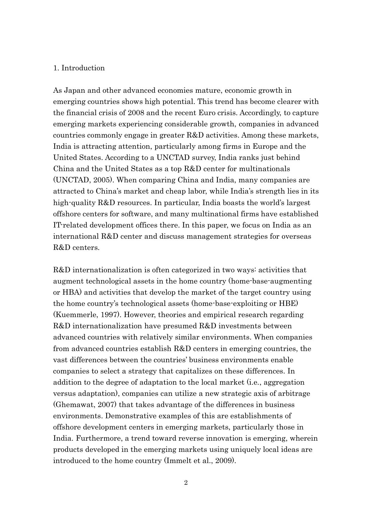#### 1. Introduction

As Japan and other advanced economies mature, economic growth in emerging countries shows high potential. This trend has become clearer with the financial crisis of 2008 and the recent Euro crisis. Accordingly, to capture emerging markets experiencing considerable growth, companies in advanced countries commonly engage in greater R&D activities. Among these markets, India is attracting attention, particularly among firms in Europe and the United States. According to a UNCTAD survey, India ranks just behind China and the United States as a top R&D center for multinationals (UNCTAD, 2005). When comparing China and India, many companies are attracted to China's market and cheap labor, while India's strength lies in its high-quality R&D resources. In particular, India boasts the world's largest offshore centers for software, and many multinational firms have established IT-related development offices there. In this paper, we focus on India as an international R&D center and discuss management strategies for overseas R&D centers.

R&D internationalization is often categorized in two ways: activities that augment technological assets in the home country (home-base-augmenting or HBA) and activities that develop the market of the target country using the home country's technological assets (home-base-exploiting or HBE) (Kuemmerle, 1997). However, theories and empirical research regarding R&D internationalization have presumed R&D investments between advanced countries with relatively similar environments. When companies from advanced countries establish R&D centers in emerging countries, the vast differences between the countries' business environments enable companies to select a strategy that capitalizes on these differences. In addition to the degree of adaptation to the local market (i.e., aggregation versus adaptation), companies can utilize a new strategic axis of arbitrage (Ghemawat, 2007) that takes advantage of the differences in business environments. Demonstrative examples of this are establishments of offshore development centers in emerging markets, particularly those in India. Furthermore, a trend toward reverse innovation is emerging, wherein products developed in the emerging markets using uniquely local ideas are introduced to the home country (Immelt et al., 2009).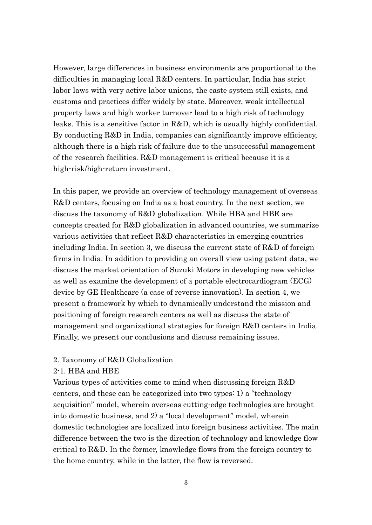However, large differences in business environments are proportional to the difficulties in managing local R&D centers. In particular, India has strict labor laws with very active labor unions, the caste system still exists, and customs and practices differ widely by state. Moreover, weak intellectual property laws and high worker turnover lead to a high risk of technology leaks. This is a sensitive factor in R&D, which is usually highly confidential. By conducting R&D in India, companies can significantly improve efficiency, although there is a high risk of failure due to the unsuccessful management of the research facilities. R&D management is critical because it is a high-risk/high-return investment.

In this paper, we provide an overview of technology management of overseas R&D centers, focusing on India as a host country. In the next section, we discuss the taxonomy of R&D globalization. While HBA and HBE are concepts created for R&D globalization in advanced countries, we summarize various activities that reflect R&D characteristics in emerging countries including India. In section 3, we discuss the current state of R&D of foreign firms in India. In addition to providing an overall view using patent data, we discuss the market orientation of Suzuki Motors in developing new vehicles as well as examine the development of a portable electrocardiogram (ECG) device by GE Healthcare (a case of reverse innovation). In section 4, we present a framework by which to dynamically understand the mission and positioning of foreign research centers as well as discuss the state of management and organizational strategies for foreign R&D centers in India. Finally, we present our conclusions and discuss remaining issues.

## 2. Taxonomy of R&D Globalization

## 2-1. HBA and HBE

Various types of activities come to mind when discussing foreign R&D centers, and these can be categorized into two types: 1) a "technology acquisition" model, wherein overseas cutting-edge technologies are brought into domestic business, and 2) a "local development" model, wherein domestic technologies are localized into foreign business activities. The main difference between the two is the direction of technology and knowledge flow critical to R&D. In the former, knowledge flows from the foreign country to the home country, while in the latter, the flow is reversed.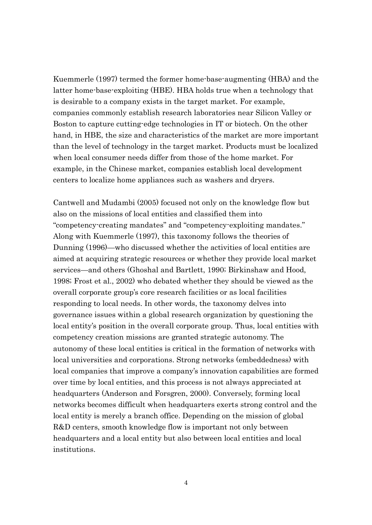Kuemmerle (1997) termed the former home-base-augmenting (HBA) and the latter home-base-exploiting (HBE). HBA holds true when a technology that is desirable to a company exists in the target market. For example, companies commonly establish research laboratories near Silicon Valley or Boston to capture cutting-edge technologies in IT or biotech. On the other hand, in HBE, the size and characteristics of the market are more important than the level of technology in the target market. Products must be localized when local consumer needs differ from those of the home market. For example, in the Chinese market, companies establish local development centers to localize home appliances such as washers and dryers.

Cantwell and Mudambi (2005) focused not only on the knowledge flow but also on the missions of local entities and classified them into "competency-creating mandates" and "competency-exploiting mandates." Along with Kuemmerle (1997), this taxonomy follows the theories of Dunning (1996)—who discussed whether the activities of local entities are aimed at acquiring strategic resources or whether they provide local market services—and others (Ghoshal and Bartlett, 1990; Birkinshaw and Hood, 1998; Frost et al., 2002) who debated whether they should be viewed as the overall corporate group's core research facilities or as local facilities responding to local needs. In other words, the taxonomy delves into governance issues within a global research organization by questioning the local entity's position in the overall corporate group. Thus, local entities with competency creation missions are granted strategic autonomy. The autonomy of these local entities is critical in the formation of networks with local universities and corporations. Strong networks (embeddedness) with local companies that improve a company's innovation capabilities are formed over time by local entities, and this process is not always appreciated at headquarters (Anderson and Forsgren, 2000). Conversely, forming local networks becomes difficult when headquarters exerts strong control and the local entity is merely a branch office. Depending on the mission of global R&D centers, smooth knowledge flow is important not only between headquarters and a local entity but also between local entities and local institutions.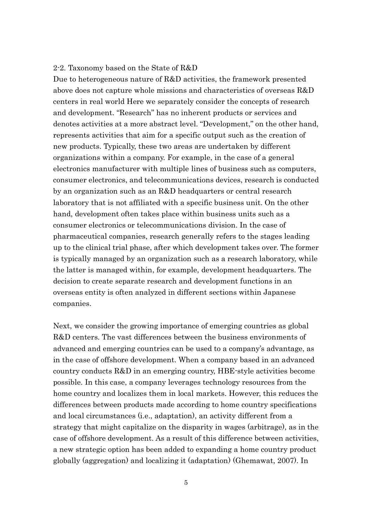#### 2-2. Taxonomy based on the State of R&D

Due to heterogeneous nature of R&D activities, the framework presented above does not capture whole missions and characteristics of overseas R&D centers in real world Here we separately consider the concepts of research and development. "Research" has no inherent products or services and denotes activities at a more abstract level. "Development," on the other hand, represents activities that aim for a specific output such as the creation of new products. Typically, these two areas are undertaken by different organizations within a company. For example, in the case of a general electronics manufacturer with multiple lines of business such as computers, consumer electronics, and telecommunications devices, research is conducted by an organization such as an R&D headquarters or central research laboratory that is not affiliated with a specific business unit. On the other hand, development often takes place within business units such as a consumer electronics or telecommunications division. In the case of pharmaceutical companies, research generally refers to the stages leading up to the clinical trial phase, after which development takes over. The former is typically managed by an organization such as a research laboratory, while the latter is managed within, for example, development headquarters. The decision to create separate research and development functions in an overseas entity is often analyzed in different sections within Japanese companies.

Next, we consider the growing importance of emerging countries as global R&D centers. The vast differences between the business environments of advanced and emerging countries can be used to a company's advantage, as in the case of offshore development. When a company based in an advanced country conducts R&D in an emerging country, HBE-style activities become possible. In this case, a company leverages technology resources from the home country and localizes them in local markets. However, this reduces the differences between products made according to home country specifications and local circumstances (i.e., adaptation), an activity different from a strategy that might capitalize on the disparity in wages (arbitrage), as in the case of offshore development. As a result of this difference between activities, a new strategic option has been added to expanding a home country product globally (aggregation) and localizing it (adaptation) (Ghemawat, 2007). In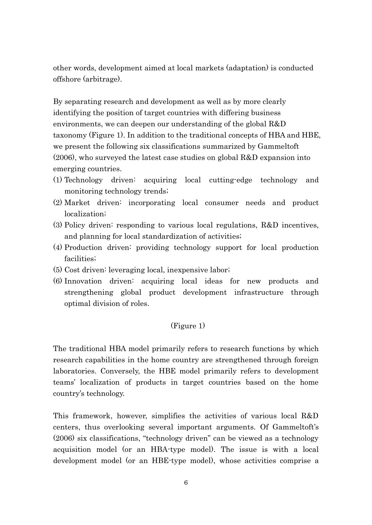other words, development aimed at local markets (adaptation) is conducted offshore (arbitrage).

By separating research and development as well as by more clearly identifying the position of target countries with differing business environments, we can deepen our understanding of the global R&D taxonomy (Figure 1). In addition to the traditional concepts of HBA and HBE, we present the following six classifications summarized by Gammeltoft (2006), who surveyed the latest case studies on global R&D expansion into emerging countries.

- (1) Technology driven: acquiring local cutting-edge technology and monitoring technology trends;
- (2) Market driven: incorporating local consumer needs and product localization;
- (3) Policy driven: responding to various local regulations, R&D incentives, and planning for local standardization of activities;
- (4) Production driven: providing technology support for local production facilities;
- (5) Cost driven: leveraging local, inexpensive labor;
- (6) Innovation driven: acquiring local ideas for new products and strengthening global product development infrastructure through optimal division of roles.

## (Figure 1)

The traditional HBA model primarily refers to research functions by which research capabilities in the home country are strengthened through foreign laboratories. Conversely, the HBE model primarily refers to development teams' localization of products in target countries based on the home country's technology.

This framework, however, simplifies the activities of various local R&D centers, thus overlooking several important arguments. Of Gammeltoft's (2006) six classifications, "technology driven" can be viewed as a technology acquisition model (or an HBA-type model). The issue is with a local development model (or an HBE-type model), whose activities comprise a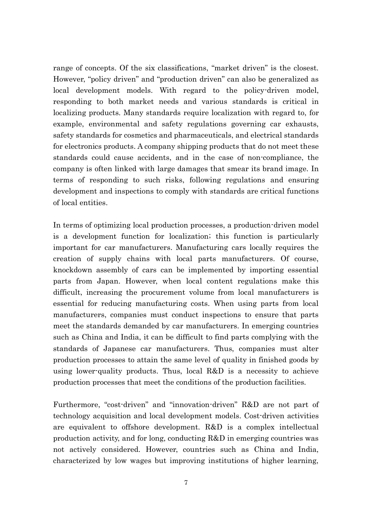range of concepts. Of the six classifications, "market driven" is the closest. However, "policy driven" and "production driven" can also be generalized as local development models. With regard to the policy-driven model, responding to both market needs and various standards is critical in localizing products. Many standards require localization with regard to, for example, environmental and safety regulations governing car exhausts, safety standards for cosmetics and pharmaceuticals, and electrical standards for electronics products. A company shipping products that do not meet these standards could cause accidents, and in the case of non-compliance, the company is often linked with large damages that smear its brand image. In terms of responding to such risks, following regulations and ensuring development and inspections to comply with standards are critical functions of local entities.

In terms of optimizing local production processes, a production-driven model is a development function for localization; this function is particularly important for car manufacturers. Manufacturing cars locally requires the creation of supply chains with local parts manufacturers. Of course, knockdown assembly of cars can be implemented by importing essential parts from Japan. However, when local content regulations make this difficult, increasing the procurement volume from local manufacturers is essential for reducing manufacturing costs. When using parts from local manufacturers, companies must conduct inspections to ensure that parts meet the standards demanded by car manufacturers. In emerging countries such as China and India, it can be difficult to find parts complying with the standards of Japanese car manufacturers. Thus, companies must alter production processes to attain the same level of quality in finished goods by using lower-quality products. Thus, local R&D is a necessity to achieve production processes that meet the conditions of the production facilities.

Furthermore, "cost-driven" and "innovation-driven" R&D are not part of technology acquisition and local development models. Cost-driven activities are equivalent to offshore development. R&D is a complex intellectual production activity, and for long, conducting R&D in emerging countries was not actively considered. However, countries such as China and India, characterized by low wages but improving institutions of higher learning,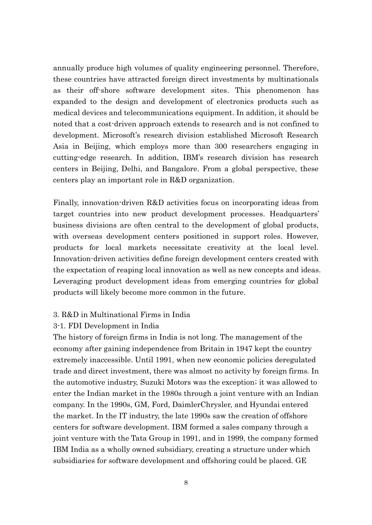annually produce high volumes of quality engineering personnel. Therefore, these countries have attracted foreign direct investments by multinationals as their off-shore software development sites. This phenomenon has expanded to the design and development of electronics products such as medical devices and telecommunications equipment. In addition, it should be noted that a cost-driven approach extends to research and is not confined to development. Microsoft's research division established Microsoft Research Asia in Beijing, which employs more than 300 researchers engaging in cutting-edge research. In addition, IBM's research division has research centers in Beijing, Delhi, and Bangalore. From a global perspective, these centers play an important role in R&D organization.

Finally, innovation-driven R&D activities focus on incorporating ideas from target countries into new product development processes. Headquarters' business divisions are often central to the development of global products, with overseas development centers positioned in support roles. However, products for local markets necessitate creativity at the local level. Innovation-driven activities define foreign development centers created with the expectation of reaping local innovation as well as new concepts and ideas. Leveraging product development ideas from emerging countries for global products will likely become more common in the future.

## 3. R&D in Multinational Firms in India

3-1. FDI Development in India

The history of foreign firms in India is not long. The management of the economy after gaining independence from Britain in 1947 kept the country extremely inaccessible. Until 1991, when new economic policies deregulated trade and direct investment, there was almost no activity by foreign firms. In the automotive industry, Suzuki Motors was the exception; it was allowed to enter the Indian market in the 1980s through a joint venture with an Indian company. In the 1990s, GM, Ford, DaimlerChrysler, and Hyundai entered the market. In the IT industry, the late 1990s saw the creation of offshore centers for software development. IBM formed a sales company through a joint venture with the Tata Group in 1991, and in 1999, the company formed IBM India as a wholly owned subsidiary, creating a structure under which subsidiaries for software development and offshoring could be placed. GE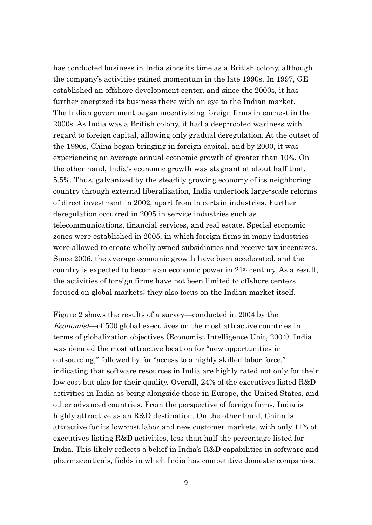has conducted business in India since its time as a British colony, although the company's activities gained momentum in the late 1990s. In 1997, GE established an offshore development center, and since the 2000s, it has further energized its business there with an eye to the Indian market. The Indian government began incentivizing foreign firms in earnest in the 2000s. As India was a British colony, it had a deep-rooted wariness with regard to foreign capital, allowing only gradual deregulation. At the outset of the 1990s, China began bringing in foreign capital, and by 2000, it was experiencing an average annual economic growth of greater than 10%. On the other hand, India's economic growth was stagnant at about half that, 5.5%. Thus, galvanized by the steadily growing economy of its neighboring country through external liberalization, India undertook large-scale reforms of direct investment in 2002, apart from in certain industries. Further deregulation occurred in 2005 in service industries such as telecommunications, financial services, and real estate. Special economic zones were established in 2005, in which foreign firms in many industries were allowed to create wholly owned subsidiaries and receive tax incentives. Since 2006, the average economic growth have been accelerated, and the country is expected to become an economic power in 21st century. As a result, the activities of foreign firms have not been limited to offshore centers focused on global markets; they also focus on the Indian market itself.

Figure 2 shows the results of a survey—conducted in 2004 by the Economist—of 500 global executives on the most attractive countries in terms of globalization objectives (Economist Intelligence Unit, 2004). India was deemed the most attractive location for "new opportunities in outsourcing," followed by for "access to a highly skilled labor force," indicating that software resources in India are highly rated not only for their low cost but also for their quality. Overall, 24% of the executives listed R&D activities in India as being alongside those in Europe, the United States, and other advanced countries. From the perspective of foreign firms, India is highly attractive as an R&D destination. On the other hand, China is attractive for its low-cost labor and new customer markets, with only 11% of executives listing R&D activities, less than half the percentage listed for India. This likely reflects a belief in India's R&D capabilities in software and pharmaceuticals, fields in which India has competitive domestic companies.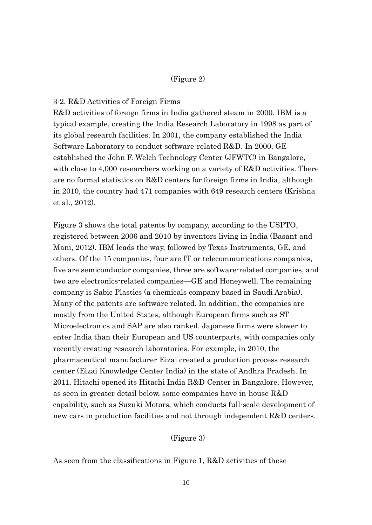## (Figure 2)

### 3-2. R&D Activities of Foreign Firms

R&D activities of foreign firms in India gathered steam in 2000. IBM is a typical example, creating the India Research Laboratory in 1998 as part of its global research facilities. In 2001, the company established the India Software Laboratory to conduct software-related R&D. In 2000, GE established the John F. Welch Technology Center (JFWTC) in Bangalore, with close to 4,000 researchers working on a variety of R&D activities. There are no formal statistics on R&D centers for foreign firms in India, although in 2010, the country had 471 companies with 649 research centers (Krishna et al., 2012).

Figure 3 shows the total patents by company, according to the USPTO, registered between 2006 and 2010 by inventors living in India (Basant and Mani, 2012). IBM leads the way, followed by Texas Instruments, GE, and others. Of the 15 companies, four are IT or telecommunications companies, five are semiconductor companies, three are software-related companies, and two are electronics-related companies—GE and Honeywell. The remaining company is Sabic Plastics (a chemicals company based in Saudi Arabia). Many of the patents are software related. In addition, the companies are mostly from the United States, although European firms such as ST Microelectronics and SAP are also ranked. Japanese firms were slower to enter India than their European and US counterparts, with companies only recently creating research laboratories. For example, in 2010, the pharmaceutical manufacturer Eizai created a production process research center (Eizai Knowledge Center India) in the state of Andhra Pradesh. In 2011, Hitachi opened its Hitachi India R&D Center in Bangalore. However, as seen in greater detail below, some companies have in-house R&D capability, such as Suzuki Motors, which conducts full-scale development of new cars in production facilities and not through independent R&D centers.

(Figure 3)

As seen from the classifications in Figure 1, R&D activities of these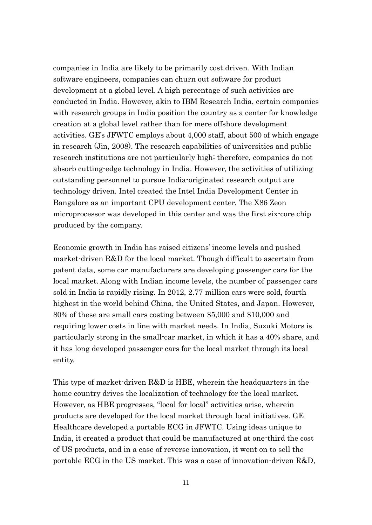companies in India are likely to be primarily cost driven. With Indian software engineers, companies can churn out software for product development at a global level. A high percentage of such activities are conducted in India. However, akin to IBM Research India, certain companies with research groups in India position the country as a center for knowledge creation at a global level rather than for mere offshore development activities. GE's JFWTC employs about 4,000 staff, about 500 of which engage in research (Jin, 2008). The research capabilities of universities and public research institutions are not particularly high; therefore, companies do not absorb cutting-edge technology in India. However, the activities of utilizing outstanding personnel to pursue India-originated research output are technology driven. Intel created the Intel India Development Center in Bangalore as an important CPU development center. The X86 Zeon microprocessor was developed in this center and was the first six-core chip produced by the company.

Economic growth in India has raised citizens' income levels and pushed market-driven R&D for the local market. Though difficult to ascertain from patent data, some car manufacturers are developing passenger cars for the local market. Along with Indian income levels, the number of passenger cars sold in India is rapidly rising. In 2012, 2.77 million cars were sold, fourth highest in the world behind China, the United States, and Japan. However, 80% of these are small cars costing between \$5,000 and \$10,000 and requiring lower costs in line with market needs. In India, Suzuki Motors is particularly strong in the small-car market, in which it has a 40% share, and it has long developed passenger cars for the local market through its local entity.

This type of market-driven R&D is HBE, wherein the headquarters in the home country drives the localization of technology for the local market. However, as HBE progresses, "local for local" activities arise, wherein products are developed for the local market through local initiatives. GE Healthcare developed a portable ECG in JFWTC. Using ideas unique to India, it created a product that could be manufactured at one-third the cost of US products, and in a case of reverse innovation, it went on to sell the portable ECG in the US market. This was a case of innovation-driven R&D,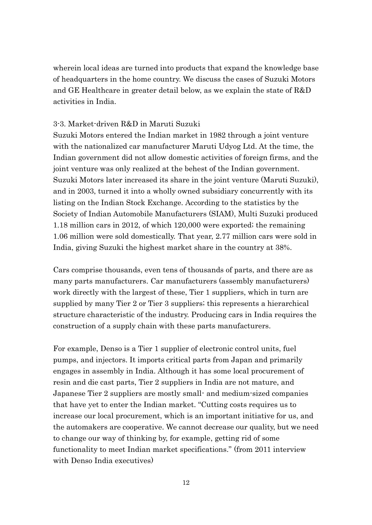wherein local ideas are turned into products that expand the knowledge base of headquarters in the home country. We discuss the cases of Suzuki Motors and GE Healthcare in greater detail below, as we explain the state of R&D activities in India.

## 3-3. Market-driven R&D in Maruti Suzuki

Suzuki Motors entered the Indian market in 1982 through a joint venture with the nationalized car manufacturer Maruti Udyog Ltd. At the time, the Indian government did not allow domestic activities of foreign firms, and the joint venture was only realized at the behest of the Indian government. Suzuki Motors later increased its share in the joint venture (Maruti Suzuki), and in 2003, turned it into a wholly owned subsidiary concurrently with its listing on the Indian Stock Exchange. According to the statistics by the Society of Indian Automobile Manufacturers (SIAM), Multi Suzuki produced 1.18 million cars in 2012, of which 120,000 were exported; the remaining 1.06 million were sold domestically. That year, 2.77 million cars were sold in India, giving Suzuki the highest market share in the country at 38%.

Cars comprise thousands, even tens of thousands of parts, and there are as many parts manufacturers. Car manufacturers (assembly manufacturers) work directly with the largest of these, Tier 1 suppliers, which in turn are supplied by many Tier 2 or Tier 3 suppliers; this represents a hierarchical structure characteristic of the industry. Producing cars in India requires the construction of a supply chain with these parts manufacturers.

For example, Denso is a Tier 1 supplier of electronic control units, fuel pumps, and injectors. It imports critical parts from Japan and primarily engages in assembly in India. Although it has some local procurement of resin and die cast parts, Tier 2 suppliers in India are not mature, and Japanese Tier 2 suppliers are mostly small- and medium-sized companies that have yet to enter the Indian market. "Cutting costs requires us to increase our local procurement, which is an important initiative for us, and the automakers are cooperative. We cannot decrease our quality, but we need to change our way of thinking by, for example, getting rid of some functionality to meet Indian market specifications." (from 2011 interview with Denso India executives)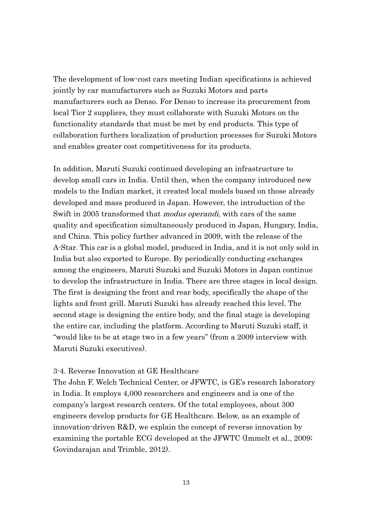The development of low-cost cars meeting Indian specifications is achieved jointly by car manufacturers such as Suzuki Motors and parts manufacturers such as Denso. For Denso to increase its procurement from local Tier 2 suppliers, they must collaborate with Suzuki Motors on the functionality standards that must be met by end products. This type of collaboration furthers localization of production processes for Suzuki Motors and enables greater cost competitiveness for its products.

In addition, Maruti Suzuki continued developing an infrastructure to develop small cars in India. Until then, when the company introduced new models to the Indian market, it created local models based on those already developed and mass produced in Japan. However, the introduction of the Swift in 2005 transformed that *modus operandi*, with cars of the same quality and specification simultaneously produced in Japan, Hungary, India, and China. This policy further advanced in 2009, with the release of the A-Star. This car is a global model, produced in India, and it is not only sold in India but also exported to Europe. By periodically conducting exchanges among the engineers, Maruti Suzuki and Suzuki Motors in Japan continue to develop the infrastructure in India. There are three stages in local design. The first is designing the front and rear body, specifically the shape of the lights and front grill. Maruti Suzuki has already reached this level. The second stage is designing the entire body, and the final stage is developing the entire car, including the platform. According to Maruti Suzuki staff, it "would like to be at stage two in a few years" (from a 2009 interview with Maruti Suzuki executives).

## 3-4. Reverse Innovation at GE Healthcare

The John F. Welch Technical Center, or JFWTC, is GE's research laboratory in India. It employs 4,000 researchers and engineers and is one of the company's largest research centers. Of the total employees, about 300 engineers develop products for GE Healthcare. Below, as an example of innovation-driven R&D, we explain the concept of reverse innovation by examining the portable ECG developed at the JFWTC (Immelt et al., 2009; Govindarajan and Trimble, 2012).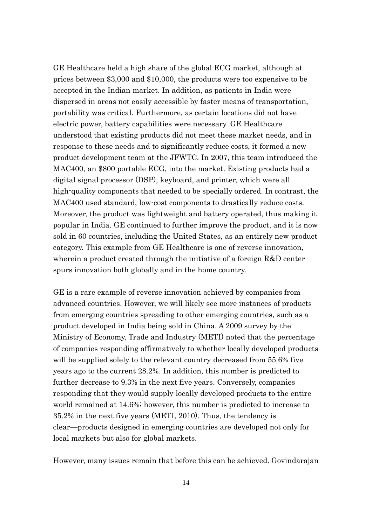GE Healthcare held a high share of the global ECG market, although at prices between \$3,000 and \$10,000, the products were too expensive to be accepted in the Indian market. In addition, as patients in India were dispersed in areas not easily accessible by faster means of transportation, portability was critical. Furthermore, as certain locations did not have electric power, battery capabilities were necessary. GE Healthcare understood that existing products did not meet these market needs, and in response to these needs and to significantly reduce costs, it formed a new product development team at the JFWTC. In 2007, this team introduced the MAC400, an \$800 portable ECG, into the market. Existing products had a digital signal processor (DSP), keyboard, and printer, which were all high-quality components that needed to be specially ordered. In contrast, the MAC400 used standard, low-cost components to drastically reduce costs. Moreover, the product was lightweight and battery operated, thus making it popular in India. GE continued to further improve the product, and it is now sold in 60 countries, including the United States, as an entirely new product category. This example from GE Healthcare is one of reverse innovation, wherein a product created through the initiative of a foreign R&D center spurs innovation both globally and in the home country.

GE is a rare example of reverse innovation achieved by companies from advanced countries. However, we will likely see more instances of products from emerging countries spreading to other emerging countries, such as a product developed in India being sold in China. A 2009 survey by the Ministry of Economy, Trade and Industry (METI) noted that the percentage of companies responding affirmatively to whether locally developed products will be supplied solely to the relevant country decreased from 55.6% five years ago to the current 28.2%. In addition, this number is predicted to further decrease to 9.3% in the next five years. Conversely, companies responding that they would supply locally developed products to the entire world remained at 14.6%; however, this number is predicted to increase to 35.2% in the next five years (METI, 2010). Thus, the tendency is clear—products designed in emerging countries are developed not only for local markets but also for global markets.

However, many issues remain that before this can be achieved. Govindarajan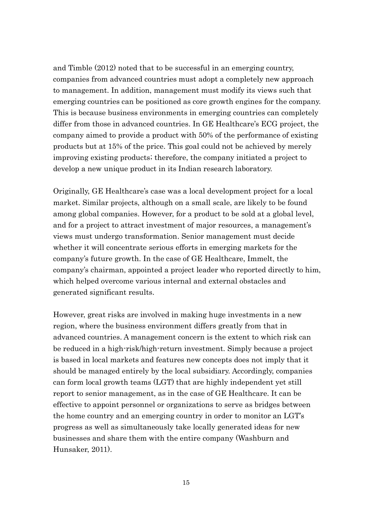and Timble (2012) noted that to be successful in an emerging country, companies from advanced countries must adopt a completely new approach to management. In addition, management must modify its views such that emerging countries can be positioned as core growth engines for the company. This is because business environments in emerging countries can completely differ from those in advanced countries. In GE Healthcare's ECG project, the company aimed to provide a product with 50% of the performance of existing products but at 15% of the price. This goal could not be achieved by merely improving existing products; therefore, the company initiated a project to develop a new unique product in its Indian research laboratory.

Originally, GE Healthcare's case was a local development project for a local market. Similar projects, although on a small scale, are likely to be found among global companies. However, for a product to be sold at a global level, and for a project to attract investment of major resources, a management's views must undergo transformation. Senior management must decide whether it will concentrate serious efforts in emerging markets for the company's future growth. In the case of GE Healthcare, Immelt, the company's chairman, appointed a project leader who reported directly to him, which helped overcome various internal and external obstacles and generated significant results.

However, great risks are involved in making huge investments in a new region, where the business environment differs greatly from that in advanced countries. A management concern is the extent to which risk can be reduced in a high-risk/high-return investment. Simply because a project is based in local markets and features new concepts does not imply that it should be managed entirely by the local subsidiary. Accordingly, companies can form local growth teams (LGT) that are highly independent yet still report to senior management, as in the case of GE Healthcare. It can be effective to appoint personnel or organizations to serve as bridges between the home country and an emerging country in order to monitor an LGT's progress as well as simultaneously take locally generated ideas for new businesses and share them with the entire company (Washburn and Hunsaker, 2011).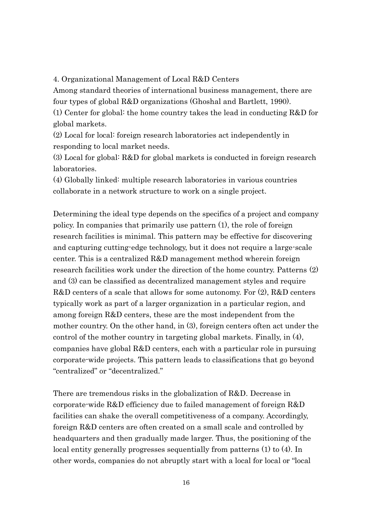4. Organizational Management of Local R&D Centers

Among standard theories of international business management, there are four types of global R&D organizations (Ghoshal and Bartlett, 1990).

(1) Center for global: the home country takes the lead in conducting R&D for global markets.

(2) Local for local: foreign research laboratories act independently in responding to local market needs.

(3) Local for global: R&D for global markets is conducted in foreign research laboratories.

(4) Globally linked: multiple research laboratories in various countries collaborate in a network structure to work on a single project.

Determining the ideal type depends on the specifics of a project and company policy. In companies that primarily use pattern (1), the role of foreign research facilities is minimal. This pattern may be effective for discovering and capturing cutting-edge technology, but it does not require a large-scale center. This is a centralized R&D management method wherein foreign research facilities work under the direction of the home country. Patterns (2) and (3) can be classified as decentralized management styles and require R&D centers of a scale that allows for some autonomy. For (2), R&D centers typically work as part of a larger organization in a particular region, and among foreign R&D centers, these are the most independent from the mother country. On the other hand, in (3), foreign centers often act under the control of the mother country in targeting global markets. Finally, in (4), companies have global R&D centers, each with a particular role in pursuing corporate-wide projects. This pattern leads to classifications that go beyond "centralized" or "decentralized."

There are tremendous risks in the globalization of R&D. Decrease in corporate-wide R&D efficiency due to failed management of foreign R&D facilities can shake the overall competitiveness of a company. Accordingly, foreign R&D centers are often created on a small scale and controlled by headquarters and then gradually made larger. Thus, the positioning of the local entity generally progresses sequentially from patterns (1) to (4). In other words, companies do not abruptly start with a local for local or "local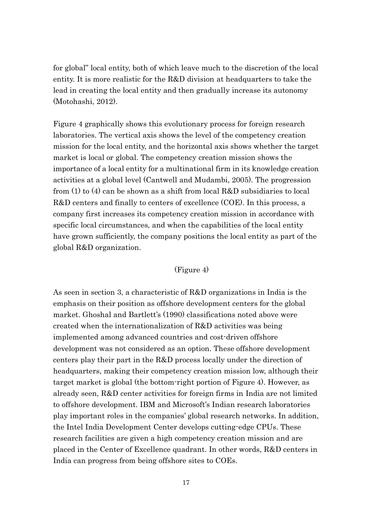for global" local entity, both of which leave much to the discretion of the local entity. It is more realistic for the R&D division at headquarters to take the lead in creating the local entity and then gradually increase its autonomy (Motohashi, 2012).

Figure 4 graphically shows this evolutionary process for foreign research laboratories. The vertical axis shows the level of the competency creation mission for the local entity, and the horizontal axis shows whether the target market is local or global. The competency creation mission shows the importance of a local entity for a multinational firm in its knowledge creation activities at a global level (Cantwell and Mudambi, 2005). The progression from (1) to (4) can be shown as a shift from local R&D subsidiaries to local R&D centers and finally to centers of excellence (COE). In this process, a company first increases its competency creation mission in accordance with specific local circumstances, and when the capabilities of the local entity have grown sufficiently, the company positions the local entity as part of the global R&D organization.

## (Figure 4)

As seen in section 3, a characteristic of R&D organizations in India is the emphasis on their position as offshore development centers for the global market. Ghoshal and Bartlett's (1990) classifications noted above were created when the internationalization of R&D activities was being implemented among advanced countries and cost-driven offshore development was not considered as an option. These offshore development centers play their part in the R&D process locally under the direction of headquarters, making their competency creation mission low, although their target market is global (the bottom-right portion of Figure 4). However, as already seen, R&D center activities for foreign firms in India are not limited to offshore development. IBM and Microsoft's Indian research laboratories play important roles in the companies' global research networks. In addition, the Intel India Development Center develops cutting-edge CPUs. These research facilities are given a high competency creation mission and are placed in the Center of Excellence quadrant. In other words, R&D centers in India can progress from being offshore sites to COEs.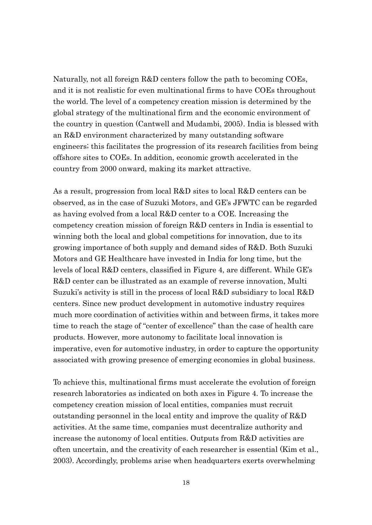Naturally, not all foreign R&D centers follow the path to becoming COEs, and it is not realistic for even multinational firms to have COEs throughout the world. The level of a competency creation mission is determined by the global strategy of the multinational firm and the economic environment of the country in question (Cantwell and Mudambi, 2005). India is blessed with an R&D environment characterized by many outstanding software engineers; this facilitates the progression of its research facilities from being offshore sites to COEs. In addition, economic growth accelerated in the country from 2000 onward, making its market attractive.

As a result, progression from local R&D sites to local R&D centers can be observed, as in the case of Suzuki Motors, and GE's JFWTC can be regarded as having evolved from a local R&D center to a COE. Increasing the competency creation mission of foreign R&D centers in India is essential to winning both the local and global competitions for innovation, due to its growing importance of both supply and demand sides of R&D. Both Suzuki Motors and GE Healthcare have invested in India for long time, but the levels of local R&D centers, classified in Figure 4, are different. While GE's R&D center can be illustrated as an example of reverse innovation, Multi Suzuki's activity is still in the process of local R&D subsidiary to local R&D centers. Since new product development in automotive industry requires much more coordination of activities within and between firms, it takes more time to reach the stage of "center of excellence" than the case of health care products. However, more autonomy to facilitate local innovation is imperative, even for automotive industry, in order to capture the opportunity associated with growing presence of emerging economies in global business.

To achieve this, multinational firms must accelerate the evolution of foreign research laboratories as indicated on both axes in Figure 4. To increase the competency creation mission of local entities, companies must recruit outstanding personnel in the local entity and improve the quality of R&D activities. At the same time, companies must decentralize authority and increase the autonomy of local entities. Outputs from R&D activities are often uncertain, and the creativity of each researcher is essential (Kim et al., 2003). Accordingly, problems arise when headquarters exerts overwhelming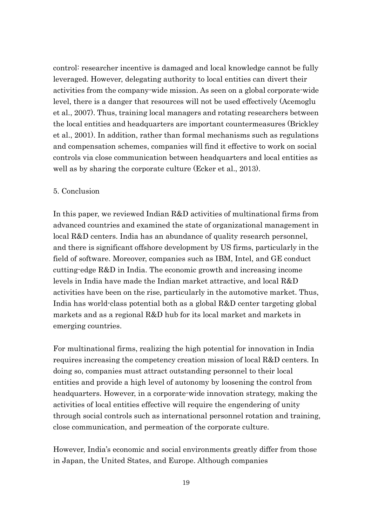control: researcher incentive is damaged and local knowledge cannot be fully leveraged. However, delegating authority to local entities can divert their activities from the company-wide mission. As seen on a global corporate-wide level, there is a danger that resources will not be used effectively (Acemoglu et al., 2007). Thus, training local managers and rotating researchers between the local entities and headquarters are important countermeasures (Brickley et al., 2001). In addition, rather than formal mechanisms such as regulations and compensation schemes, companies will find it effective to work on social controls via close communication between headquarters and local entities as well as by sharing the corporate culture (Ecker et al., 2013).

### 5. Conclusion

In this paper, we reviewed Indian R&D activities of multinational firms from advanced countries and examined the state of organizational management in local R&D centers. India has an abundance of quality research personnel, and there is significant offshore development by US firms, particularly in the field of software. Moreover, companies such as IBM, Intel, and GE conduct cutting-edge R&D in India. The economic growth and increasing income levels in India have made the Indian market attractive, and local R&D activities have been on the rise, particularly in the automotive market. Thus, India has world-class potential both as a global R&D center targeting global markets and as a regional R&D hub for its local market and markets in emerging countries.

For multinational firms, realizing the high potential for innovation in India requires increasing the competency creation mission of local R&D centers. In doing so, companies must attract outstanding personnel to their local entities and provide a high level of autonomy by loosening the control from headquarters. However, in a corporate-wide innovation strategy, making the activities of local entities effective will require the engendering of unity through social controls such as international personnel rotation and training, close communication, and permeation of the corporate culture.

However, India's economic and social environments greatly differ from those in Japan, the United States, and Europe. Although companies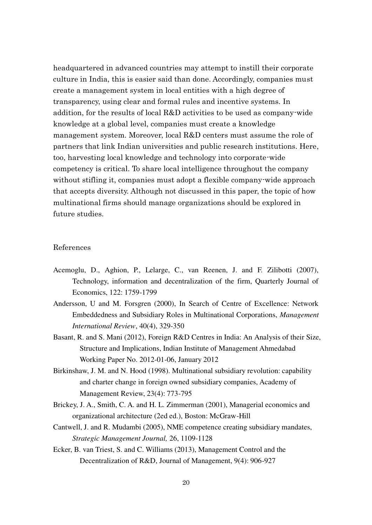headquartered in advanced countries may attempt to instill their corporate culture in India, this is easier said than done. Accordingly, companies must create a management system in local entities with a high degree of transparency, using clear and formal rules and incentive systems. In addition, for the results of local R&D activities to be used as company-wide knowledge at a global level, companies must create a knowledge management system. Moreover, local R&D centers must assume the role of partners that link Indian universities and public research institutions. Here, too, harvesting local knowledge and technology into corporate-wide competency is critical. To share local intelligence throughout the company without stifling it, companies must adopt a flexible company-wide approach that accepts diversity. Although not discussed in this paper, the topic of how multinational firms should manage organizations should be explored in future studies.

#### References

- Acemoglu, D., Aghion, P., Lelarge, C., van Reenen, J. and F. Zilibotti (2007), Technology, information and decentralization of the firm, Quarterly Journal of Economics, 122: 1759-1799
- Andersson, U and M. Forsgren (2000), In Search of Centre of Excellence: Network Embeddedness and Subsidiary Roles in Multinational Corporations, *Management International Review*, 40(4), 329-350
- Basant, R. and S. Mani (2012), Foreign R&D Centres in India: An Analysis of their Size, Structure and Implications, Indian Institute of Management Ahmedabad Working Paper No. 2012-01-06, January 2012
- Birkinshaw, J. M. and N. Hood (1998). Multinational subsidiary revolution: capability and charter change in foreign owned subsidiary companies, Academy of Management Review, 23(4): 773-795
- Brickey, J. A., Smith, C. A. and H. L. Zimmerman (2001), Managerial economics and organizational architecture (2ed ed.), Boston: McGraw-Hill
- Cantwell, J. and R. Mudambi (2005), NME competence creating subsidiary mandates, *Strategic Management Journal,* 26, 1109-1128
- Ecker, B. van Triest, S. and C. Williams (2013), Management Control and the Decentralization of R&D, Journal of Management, 9(4): 906-927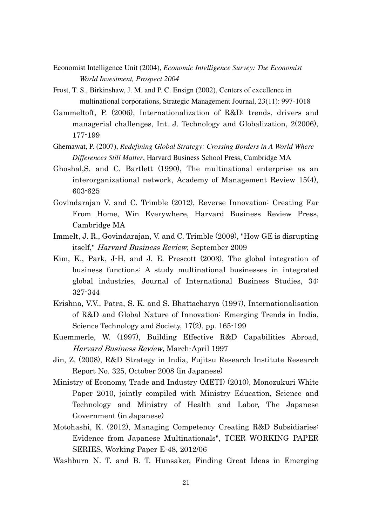- Economist Intelligence Unit (2004), *Economic Intelligence Survey: The Economist World Investment, Prospect 2004*
- Frost, T. S., Birkinshaw, J. M. and P. C. Ensign (2002), Centers of excellence in multinational corporations, Strategic Management Journal, 23(11): 997-1018
- Gammeltoft, P. (2006), Internationalization of R&D: trends, drivers and managerial challenges, Int. J. Technology and Globalization, 2(2006), 177-199
- Ghemawat, P. (2007), *Redefining Global Strategy: Crossing Borders in A World Where Differences Still Matter*, Harvard Business School Press, Cambridge MA
- Ghoshal,S. and C. Bartlett (1990), The multinational enterprise as an interorganizational network, Academy of Management Review 15(4), 603-625
- Govindarajan V. and C. Trimble (2012), Reverse Innovation: Creating Far From Home, Win Everywhere, Harvard Business Review Press, Cambridge MA
- Immelt, J. R., Govindarajan, V. and C. Trimble (2009), "How GE is disrupting itself," Harvard Business Review, September 2009
- Kim, K., Park, J-H, and J. E. Prescott (2003), The global integration of business functions: A study multinational businesses in integrated global industries, Journal of International Business Studies, 34: 327-344
- Krishna, V.V., Patra, S. K. and S. Bhattacharya (1997), Internationalisation of R&D and Global Nature of Innovation: Emerging Trends in India, Science Technology and Society, 17(2), pp. 165-199
- Kuemmerle, W. (1997), Building Effective R&D Capabilities Abroad, Harvard Business Review, March-April 1997
- Jin, Z. (2008), R&D Strategy in India, Fujitsu Research Institute Research Report No. 325, October 2008 (in Japanese)
- Ministry of Economy, Trade and Industry (METI) (2010), Monozukuri White Paper 2010, jointly compiled with Ministry Education, Science and Technology and Ministry of Health and Labor, The Japanese Government (in Japanese)
- Motohashi, K. (2012), Managing Competency Creating R&D Subsidiaries: Evidence from Japanese Multinationals", TCER WORKING PAPER SERIES, Working Paper E-48, 2012/06
- Washburn N. T. and B. T. Hunsaker, Finding Great Ideas in Emerging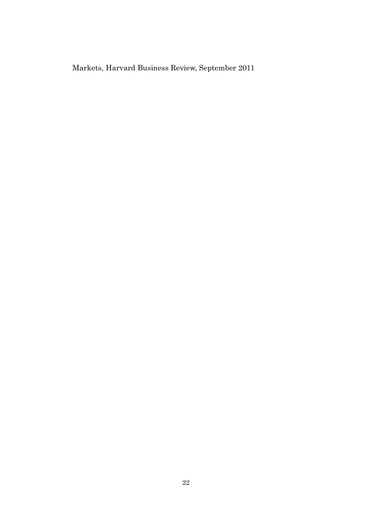Markets, Harvard Business Review, September 2011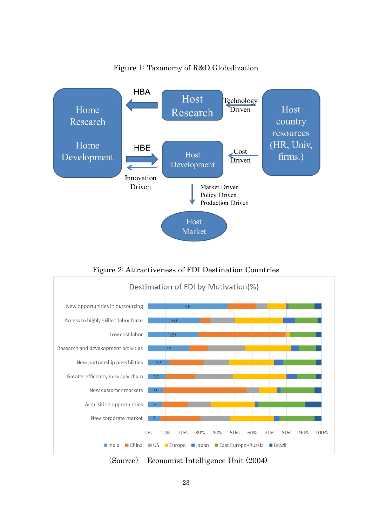

## Figure 1: Taxonomy of R&D Globalization

## Figure 2: Attractiveness of FDI Destination Countries